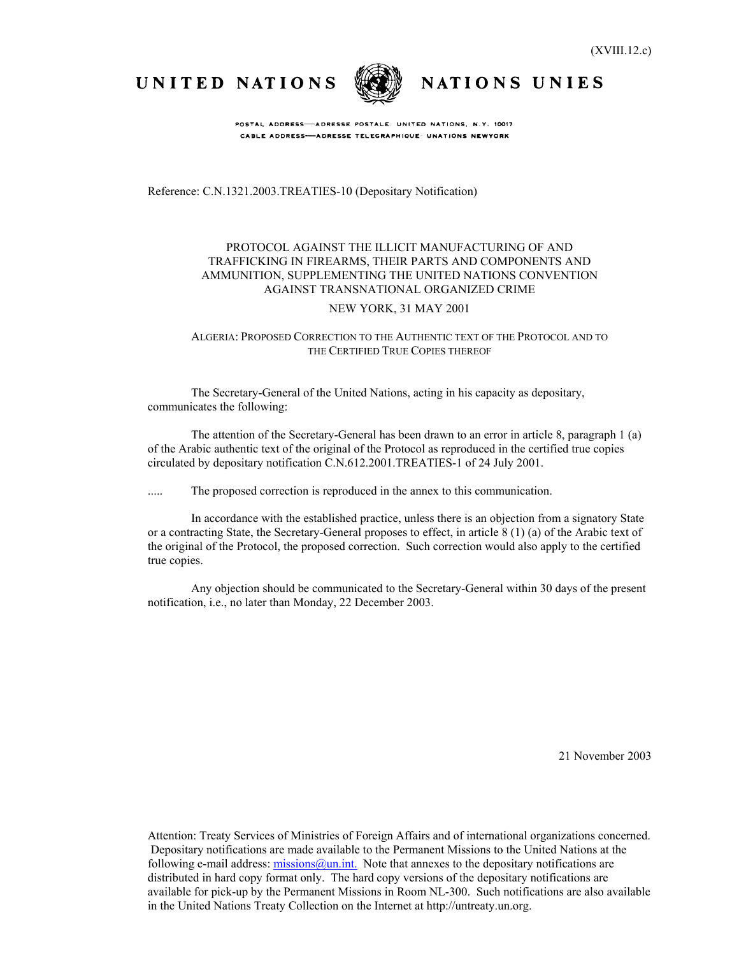UNITED NATIONS



NATIONS UNIES

POSTAL ADDRESS-ADRESSE POSTALE: UNITED NATIONS, N.Y. 10017 CABLE ADDRESS-ADRESSE TELEGRAPHIQUE UNATIONS NEWYORK

Reference: C.N.1321.2003.TREATIES-10 (Depositary Notification)

### PROTOCOL AGAINST THE ILLICIT MANUFACTURING OF AND TRAFFICKING IN FIREARMS, THEIR PARTS AND COMPONENTS AND AMMUNITION, SUPPLEMENTING THE UNITED NATIONS CONVENTION AGAINST TRANSNATIONAL ORGANIZED CRIME

#### NEW YORK, 31 MAY 2001

#### ALGERIA: PROPOSED CORRECTION TO THE AUTHENTIC TEXT OF THE PROTOCOL AND TO THE CERTIFIED TRUE COPIES THEREOF

The Secretary-General of the United Nations, acting in his capacity as depositary, communicates the following:

The attention of the Secretary-General has been drawn to an error in article 8, paragraph 1 (a) of the Arabic authentic text of the original of the Protocol as reproduced in the certified true copies circulated by depositary notification C.N.612.2001.TREATIES-1 of 24 July 2001.

..... The proposed correction is reproduced in the annex to this communication.

In accordance with the established practice, unless there is an objection from a signatory State or a contracting State, the Secretary-General proposes to effect, in article 8 (1) (a) of the Arabic text of the original of the Protocol, the proposed correction. Such correction would also apply to the certified true copies.

Any objection should be communicated to the Secretary-General within 30 days of the present notification, i.e., no later than Monday, 22 December 2003.

21 November 2003

Attention: Treaty Services of Ministries of Foreign Affairs and of international organizations concerned. Depositary notifications are made available to the Permanent Missions to the United Nations at the following e-mail address:  $\frac{\text{missing}}{a}$ un.int. Note that annexes to the depositary notifications are distributed in hard copy format only. The hard copy versions of the depositary notifications are available for pick-up by the Permanent Missions in Room NL-300. Such notifications are also available in the United Nations Treaty Collection on the Internet at http://untreaty.un.org.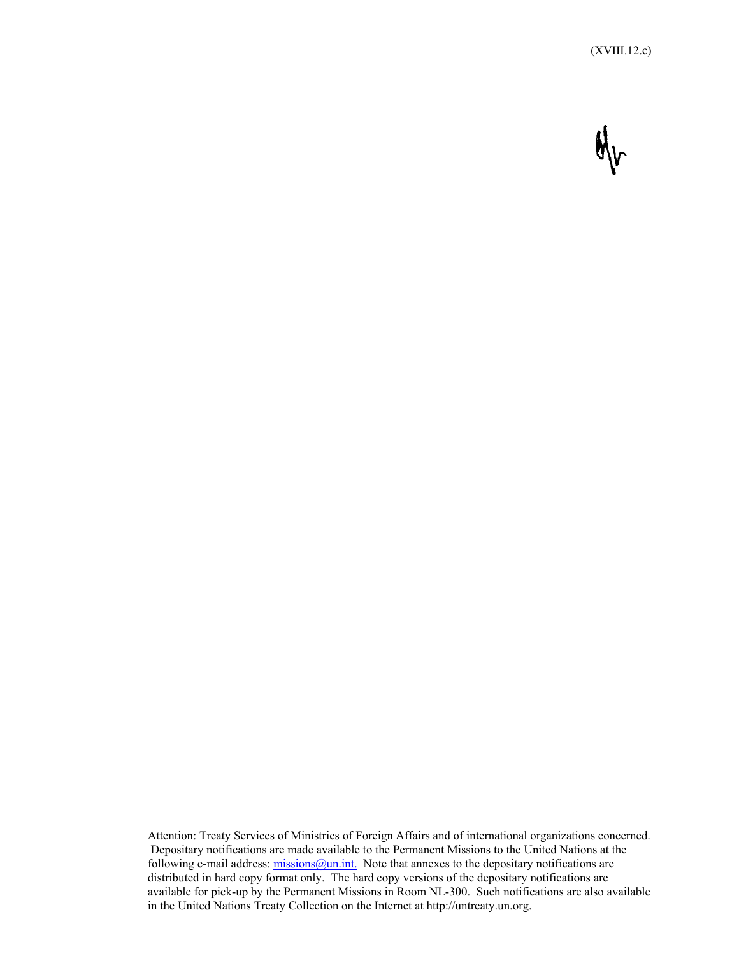

Attention: Treaty Services of Ministries of Foreign Affairs and of international organizations concerned. Depositary notifications are made available to the Permanent Missions to the United Nations at the following e-mail address:  $\frac{\text{missing}}{a}$ un.int. Note that annexes to the depositary notifications are distributed in hard copy format only. The hard copy versions of the depositary notifications are available for pick-up by the Permanent Missions in Room NL-300. Such notifications are also available in the United Nations Treaty Collection on the Internet at http://untreaty.un.org.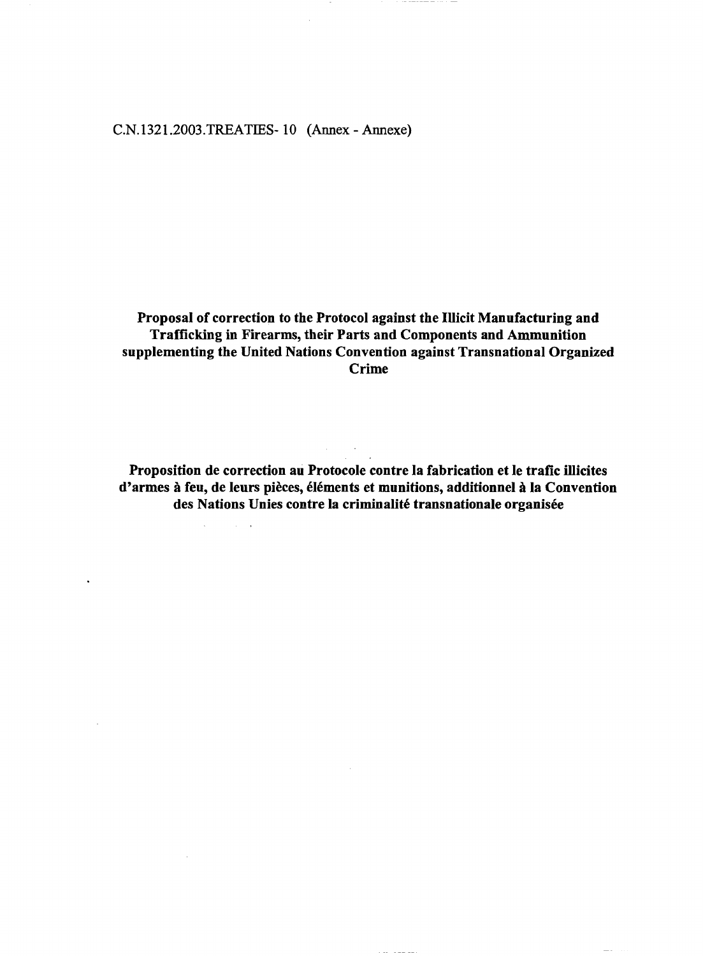## C.N.I321.2003.TREATIES-10 (Annex - Annexe)

**Proposal of correction to the Protocol against the Illicit Manufacturing and Trafficking in Firearms, their Parts and Components and Ammunition supplementing the United Nations Convention against Transnational Organized** Crime

**Proposition de correction au Protocole contre la fabrication et le trafic illicites** d'armes à feu, de leurs pièces, éléments et munitions, additionnel à la Convention des Nations Unies contre la criminalité transnationale organisée

 $\sim$ 

 $\sim 10^7$ 

 $\sqrt{2}$ 

 $\sim 10^7$ 

 $\sim 10^{-1}$  km